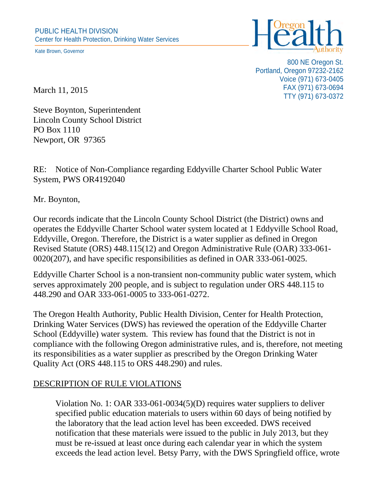Kate Brown, Governor



800 NE Oregon St. Portland, Oregon 97232-2162 Voice (971) 673-0405 FAX (971) 673-0694 TTY (971) 673-0372

March 11, 2015

Steve Boynton, Superintendent Lincoln County School District PO Box 1110 Newport, OR 97365

RE: Notice of Non-Compliance regarding Eddyville Charter School Public Water System, PWS OR4192040

Mr. Boynton,

Our records indicate that the Lincoln County School District (the District) owns and operates the Eddyville Charter School water system located at 1 Eddyville School Road, Eddyville, Oregon. Therefore, the District is a water supplier as defined in Oregon Revised Statute (ORS) 448.115(12) and Oregon Administrative Rule (OAR) 333-061- 0020(207), and have specific responsibilities as defined in OAR 333-061-0025.

Eddyville Charter School is a non-transient non-community public water system, which serves approximately 200 people, and is subject to regulation under ORS 448.115 to 448.290 and OAR 333-061-0005 to 333-061-0272.

The Oregon Health Authority, Public Health Division, Center for Health Protection, Drinking Water Services (DWS) has reviewed the operation of the Eddyville Charter School (Eddyville) water system. This review has found that the District is not in compliance with the following Oregon administrative rules, and is, therefore, not meeting its responsibilities as a water supplier as prescribed by the Oregon Drinking Water Quality Act (ORS 448.115 to ORS 448.290) and rules.

## DESCRIPTION OF RULE VIOLATIONS

Violation No. 1: OAR 333-061-0034(5)(D) requires water suppliers to deliver specified public education materials to users within 60 days of being notified by the laboratory that the lead action level has been exceeded. DWS received notification that these materials were issued to the public in July 2013, but they must be re-issued at least once during each calendar year in which the system exceeds the lead action level. Betsy Parry, with the DWS Springfield office, wrote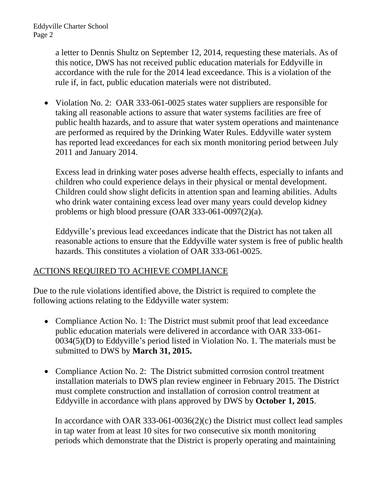a letter to Dennis Shultz on September 12, 2014, requesting these materials. As of this notice, DWS has not received public education materials for Eddyville in accordance with the rule for the 2014 lead exceedance. This is a violation of the rule if, in fact, public education materials were not distributed.

Violation No. 2: OAR 333-061-0025 states water suppliers are responsible for taking all reasonable actions to assure that water systems facilities are free of public health hazards, and to assure that water system operations and maintenance are performed as required by the Drinking Water Rules. Eddyville water system has reported lead exceedances for each six month monitoring period between July 2011 and January 2014.

Excess lead in drinking water poses adverse health effects, especially to infants and children who could experience delays in their physical or mental development. Children could show slight deficits in attention span and learning abilities. Adults who drink water containing excess lead over many years could develop kidney problems or high blood pressure (OAR 333-061-0097(2)(a).

Eddyville's previous lead exceedances indicate that the District has not taken all reasonable actions to ensure that the Eddyville water system is free of public health hazards. This constitutes a violation of OAR 333-061-0025.

## ACTIONS REQUIRED TO ACHIEVE COMPLIANCE

Due to the rule violations identified above, the District is required to complete the following actions relating to the Eddyville water system:

- Compliance Action No. 1: The District must submit proof that lead exceedance public education materials were delivered in accordance with OAR 333-061- 0034(5)(D) to Eddyville's period listed in Violation No. 1. The materials must be submitted to DWS by **March 31, 2015.**
- Compliance Action No. 2: The District submitted corrosion control treatment installation materials to DWS plan review engineer in February 2015. The District must complete construction and installation of corrosion control treatment at Eddyville in accordance with plans approved by DWS by **October 1, 2015**.

In accordance with OAR 333-061-0036(2)(c) the District must collect lead samples in tap water from at least 10 sites for two consecutive six month monitoring periods which demonstrate that the District is properly operating and maintaining